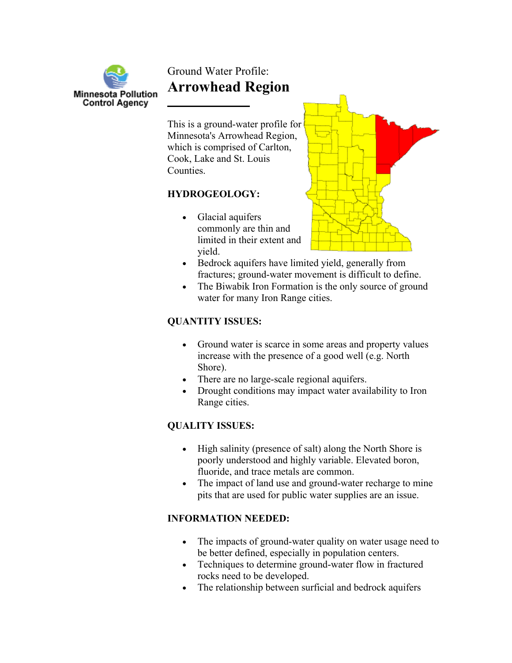

# Ground Water Profile: **Arrowhead Region**

which is comprised of Carlton, Cook, Lake and St. Louis **Counties** This is a ground-water profile for Minnesota's Arrowhead Region,

#### **HYDROGEOLOGY:**

limited in their extent and • Glacial aquifers commonly are thin and yield.



- fractures; ground-water movement is difficult to define. • Bedrock aquifers have limited yield, generally from
- The Biwabik Iron Formation is the only source of ground water for many Iron Range cities.

### **QUANTITY ISSUES:**

- Ground water is scarce in some areas and property values increase with the presence of a good well (e.g. North Shore).
- There are no large-scale regional aquifers.
- Drought conditions may impact water availability to Iron Range cities.

## **QUALITY ISSUES:**

- High salinity (presence of salt) along the North Shore is poorly understood and highly variable. Elevated boron, fluoride, and trace metals are common.
- The impact of land use and ground-water recharge to mine pits that are used for public water supplies are an issue.

## **INFORMATION NEEDED:**

- The impacts of ground-water quality on water usage need to be better defined, especially in population centers.
- Techniques to determine ground-water flow in fractured rocks need to be developed.
- The relationship between surficial and bedrock aquifers